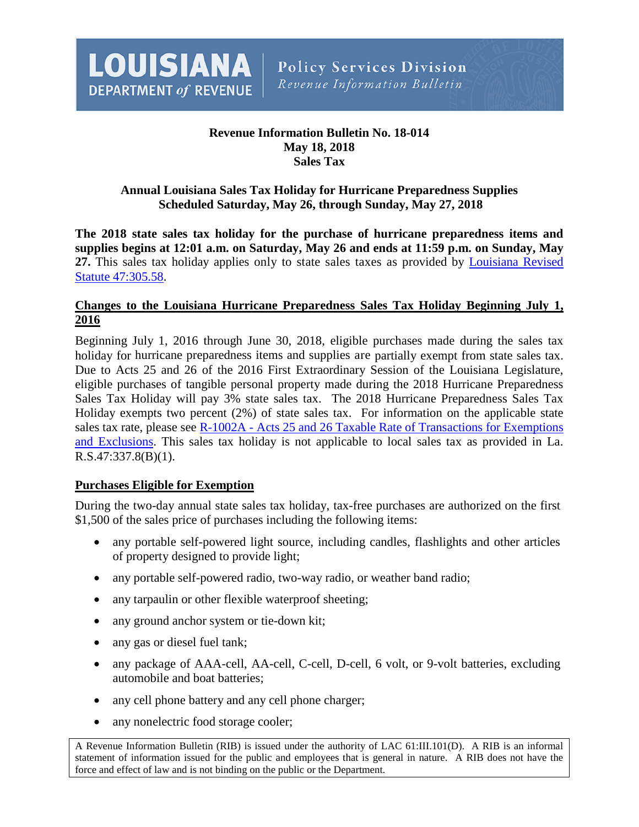

## **Revenue Information Bulletin No. 18-014 May 18, 2018 Sales Tax**

### **Annual Louisiana Sales Tax Holiday for Hurricane Preparedness Supplies Scheduled Saturday, May 26, through Sunday, May 27, 2018**

**The 2018 state sales tax holiday for the purchase of hurricane preparedness items and supplies begins at 12:01 a.m. on Saturday, May 26 and ends at 11:59 p.m. on Sunday, May 27.** This sales tax holiday applies only to state sales taxes as provided by [Louisiana Revised](http://www.legis.la.gov/Legis/Law.aspx?d=453091)  [Statute 47:305.58.](http://www.legis.la.gov/Legis/Law.aspx?d=453091)

#### **Changes to the Louisiana Hurricane Preparedness Sales Tax Holiday Beginning July 1, 2016**

Beginning July 1, 2016 through June 30, 2018, eligible purchases made during the sales tax holiday for hurricane preparedness items and supplies are partially exempt from state sales tax. Due to Acts 25 and 26 of the 2016 First Extraordinary Session of the Louisiana Legislature, eligible purchases of tangible personal property made during the 2018 Hurricane Preparedness Sales Tax Holiday will pay 3% state sales tax. The 2018 Hurricane Preparedness Sales Tax Holiday exempts two percent (2%) of state sales tax. For information on the applicable state sales tax rate, please see R-1002A - Acts 25 and 26 Taxable Rate of Transactions for Exemptions [and Exclusions.](http://revenue.louisiana.gov/Publications/R-1002A%20FINAL%20(01-17).pdf) This sales tax holiday is not applicable to local sales tax as provided in La. R.S.47:337.8(B)(1).

#### **Purchases Eligible for Exemption**

During the two-day annual state sales tax holiday, tax-free purchases are authorized on the first \$1,500 of the sales price of purchases including the following items:

- any portable self-powered light source, including candles, flashlights and other articles of property designed to provide light;
- any portable self-powered radio, two-way radio, or weather band radio;
- any tarpaulin or other flexible waterproof sheeting;
- any ground anchor system or tie-down kit;
- <span id="page-0-0"></span>• any gas or diesel fuel tank;
- any package of AAA-cell, AA-cell, C-cell, D-cell, 6 volt, or 9-volt batteries, excluding automobile and boat batteries;
- any cell phone battery and any cell phone charger;
- any nonelectric food storage cooler;

A Revenue Information Bulletin (RIB) is issued under the authority of LAC 61:III.101(D). A RIB is an informal statement of information issued for the public and employees that is general in nature. A RIB does not have the force and effect of law and is not binding on the public or the Department.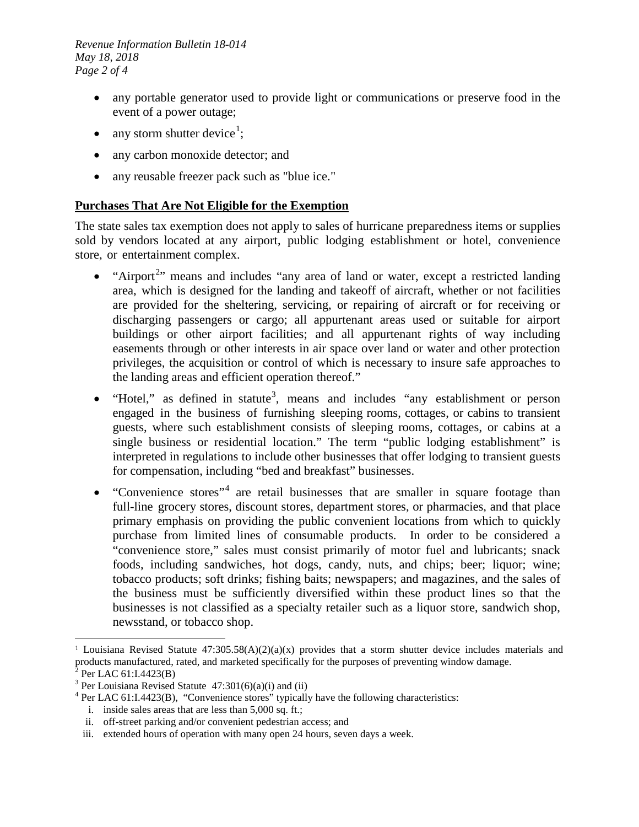*Revenue Information Bulletin 18-014 May 18, 2018 Page 2 of 4*

- any portable generator used to provide light or communications or preserve food in the event of a power outage;
- any storm shutter device<sup>[1](#page-0-0)</sup>;
- any carbon monoxide detector; and
- any reusable freezer pack such as "blue ice."

#### **Purchases That Are Not Eligible for the Exemption**

The state sales tax exemption does not apply to sales of hurricane preparedness items or supplies sold by vendors located at any airport, public lodging establishment or hotel, convenience store, or entertainment complex.

- "Airport<sup>[2](#page-1-0)</sup>" means and includes "any area of land or water, except a restricted landing area, which is designed for the landing and takeoff of aircraft, whether or not facilities are provided for the sheltering, servicing, or repairing of aircraft or for receiving or discharging passengers or cargo; all appurtenant areas used or suitable for airport buildings or other airport facilities; and all appurtenant rights of way including easements through or other interests in air space over land or water and other protection privileges, the acquisition or control of which is necessary to insure safe approaches to the landing areas and efficient operation thereof."
- "Hotel," as defined in statute<sup>[3](#page-1-1)</sup>, means and includes "any establishment or person engaged in the business of furnishing sleeping rooms, cottages, or cabins to transient guests, where such establishment consists of sleeping rooms, cottages, or cabins at a single business or residential location." The term "public lodging establishment" is interpreted in regulations to include other businesses that offer lodging to transient guests for compensation, including "bed and breakfast" businesses.
- "Convenience stores"<sup>[4](#page-1-2)</sup> are retail businesses that are smaller in square footage than full-line grocery stores, discount stores, department stores, or pharmacies, and that place primary emphasis on providing the public convenient locations from which to quickly purchase from limited lines of consumable products. In order to be considered a "convenience store," sales must consist primarily of motor fuel and lubricants; snack foods, including sandwiches, hot dogs, candy, nuts, and chips; beer; liquor; wine; tobacco products; soft drinks; fishing baits; newspapers; and magazines, and the sales of the business must be sufficiently diversified within these product lines so that the businesses is not classified as a specialty retailer such as a liquor store, sandwich shop, newsstand, or tobacco shop.

 $\overline{a}$ 

<sup>1</sup> Louisiana Revised Statute 47:305.58(A)(2)(a)(x) provides that a storm shutter device includes materials and products manufactured, rated, and marketed specifically for the purposes of preventing window damage.<br>
<sup>2</sup> Per LAC 61:I.4423(B)<br>
<sup>3</sup> Per Louisiana Revised Statute 47:301(6)(a)(i) and (ii)<br>
<sup>4</sup> Per LAC 61:I.4423(B), "Conve

<span id="page-1-0"></span>

<span id="page-1-2"></span><span id="page-1-1"></span>

i. inside sales areas that are less than 5,000 sq. ft.;

ii. off-street parking and/or convenient pedestrian access; and

<span id="page-1-3"></span>iii. extended hours of operation with many open 24 hours, seven days a week.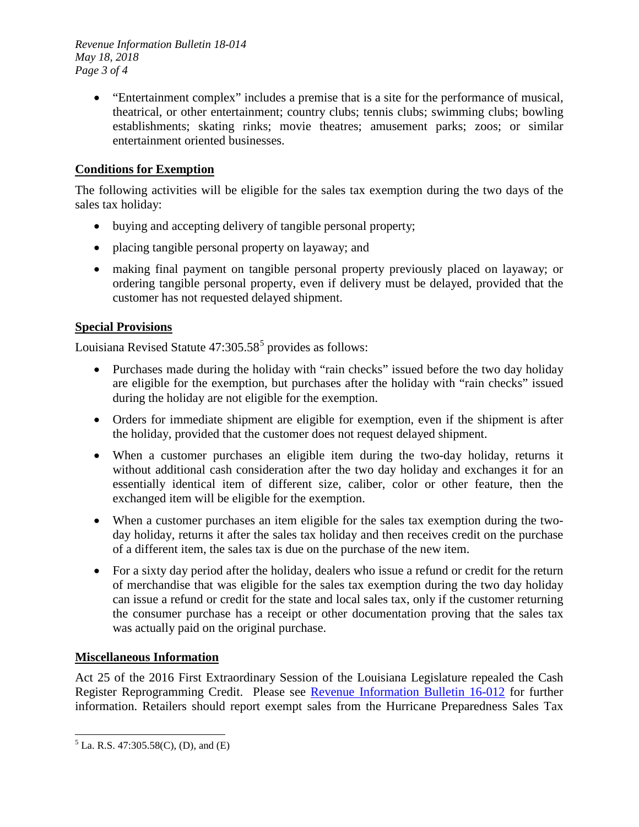*Revenue Information Bulletin 18-014 May 18, 2018 Page 3 of 4*

> • "Entertainment complex" includes a premise that is a site for the performance of musical, theatrical, or other entertainment; country clubs; tennis clubs; swimming clubs; bowling establishments; skating rinks; movie theatres; amusement parks; zoos; or similar entertainment oriented businesses.

# **Conditions for Exemption**

The following activities will be eligible for the sales tax exemption during the two days of the sales tax holiday:

- buying and accepting delivery of tangible personal property;
- placing tangible personal property on layaway; and
- making final payment on tangible personal property previously placed on layaway; or ordering tangible personal property, even if delivery must be delayed, provided that the customer has not requested delayed shipment.

#### **Special Provisions**

Louisiana Revised Statute  $47:305.58<sup>5</sup>$  $47:305.58<sup>5</sup>$  $47:305.58<sup>5</sup>$  provides as follows:

- Purchases made during the holiday with "rain checks" issued before the two day holiday are eligible for the exemption, but purchases after the holiday with "rain checks" issued during the holiday are not eligible for the exemption.
- Orders for immediate shipment are eligible for exemption, even if the shipment is after the holiday, provided that the customer does not request delayed shipment.
- When a customer purchases an eligible item during the two-day holiday, returns it without additional cash consideration after the two day holiday and exchanges it for an essentially identical item of different size, caliber, color or other feature, then the exchanged item will be eligible for the exemption.
- When a customer purchases an item eligible for the sales tax exemption during the twoday holiday, returns it after the sales tax holiday and then receives credit on the purchase of a different item, the sales tax is due on the purchase of the new item.
- For a sixty day period after the holiday, dealers who issue a refund or credit for the return of merchandise that was eligible for the sales tax exemption during the two day holiday can issue a refund or credit for the state and local sales tax, only if the customer returning the consumer purchase has a receipt or other documentation proving that the sales tax was actually paid on the original purchase.

#### **Miscellaneous Information**

Act 25 of the 2016 First Extraordinary Session of the Louisiana Legislature repealed the Cash Register Reprogramming Credit. Please see [Revenue Information Bulletin 16-012](http://revenue.louisiana.gov/LawsPolicies/RIB%2016-012%20Act%2025%20of%20the%20First%20Extraordinary%20Session%20(4616).pdf) for further information. Retailers should report exempt sales from the Hurricane Preparedness Sales Tax

<span id="page-2-0"></span> $<sup>5</sup>$  La. R.S. 47:305.58(C), (D), and (E)</sup>